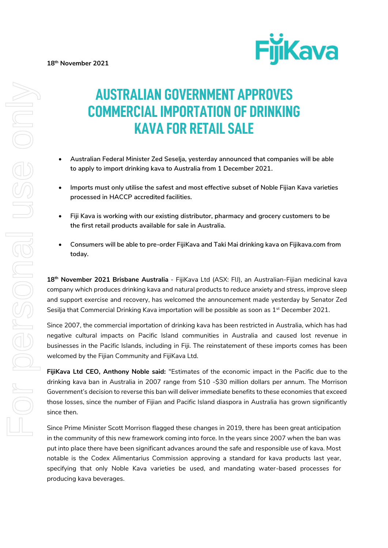

# **AUSTRALIAN GOVERNMENT APPROVES COMMERCIAL IMPORTATION OF DRINKING KAVA FOR RETAIL SALE**

- **Australian Federal Minister Zed Seselja, yesterday announced that companies will be able to apply to import drinking kava to Australia from 1 December 2021.**
- **Imports must only utilise the safest and most effective subset of Noble Fijian Kava varieties processed in HACCP accredited facilities.**
- **Fiji Kava is working with our existing distributor, pharmacy and grocery customers to be the first retail products available for sale in Australia.**
- **Consumers will be able to pre-order FijiKava and Taki Mai drinking kava on Fijikava.com from today.**

**18th November 2021 Brisbane Australia** - FijiKava Ltd (ASX: FIJ), an Australian-Fijian medicinal kava company which produces drinking kava and natural products to reduce anxiety and stress, improve sleep and support exercise and recovery, has welcomed the announcement made yesterday by Senator Zed Sesilia that Commercial Drinking Kava importation will be possible as soon as 1<sup>st</sup> December 2021.

Since 2007, the commercial importation of drinking kava has been restricted in Australia, which has had negative cultural impacts on Pacific Island communities in Australia and caused lost revenue in businesses in the Pacific Islands, including in Fiji. The reinstatement of these imports comes has been welcomed by the Fijian Community and FijiKava Ltd.

**FijiKava Ltd CEO, Anthony Noble said:** "Estimates of the economic impact in the Pacific due to the drinking kava ban in Australia in 2007 range from \$10 -\$30 million dollars per annum. The Morrison Government's decision to reverse this ban will deliver immediate benefits to these economies that exceed those losses, since the number of Fijian and Pacific Island diaspora in Australia has grown significantly since then.

Since Prime Minister Scott Morrison flagged these changes in 2019, there has been great anticipation in the community of this new framework coming into force. In the years since 2007 when the ban was put into place there have been significant advances around the safe and responsible use of kava. Most notable is the Codex Alimentarius Commission approving a standard for kava products last year, specifying that only Noble Kava varieties be used, and mandating water-based processes for producing kava beverages.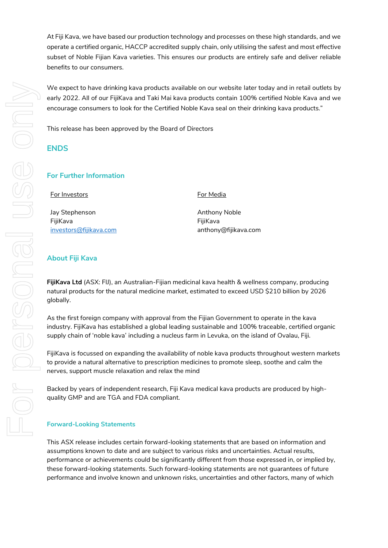At Fiji Kava, we have based our production technology and processes on these high standards, and we operate a certified organic, HACCP accredited supply chain, only utilising the safest and most effective subset of Noble Fijian Kava varieties. This ensures our products are entirely safe and deliver reliable benefits to our consumers.

We expect to have drinking kava products available on our website later today and in retail outlets by early 2022. All of our FijiKava and Taki Mai kava products contain 100% certified Noble Kava and we encourage consumers to look for the Certified Noble Kava seal on their drinking kava products."

This release has been approved by the Board of Directors

## **ENDS**

## **For Further Information**

For Investors

Jay Stephenson FijiKava [investors@fijikava.com](mailto:investors@fijikava.com) For Media

Anthony Noble FijiKava anthony@fijikava.com

## **About Fiji Kava**

**FijiKava Ltd** (ASX: FIJ), an Australian-Fijian medicinal kava health & wellness company, producing natural products for the natural medicine market, estimated to exceed USD \$210 billion by 2026 globally.

As the first foreign company with approval from the Fijian Government to operate in the kava industry. FijiKava has established a global leading sustainable and 100% traceable, certified organic supply chain of 'noble kava' including a nucleus farm in Levuka, on the island of Ovalau, Fiji.

FijiKava is focussed on expanding the availability of noble kava products throughout western markets to provide a natural alternative to prescription medicines to promote sleep, soothe and calm the nerves, support muscle relaxation and relax the mind

Backed by years of independent research, Fiji Kava medical kava products are produced by highquality GMP and are TGA and FDA compliant.

### **Forward-Looking Statements**

This ASX release includes certain forward-looking statements that are based on information and assumptions known to date and are subject to various risks and uncertainties. Actual results, performance or achievements could be significantly different from those expressed in, or implied by, these forward-looking statements. Such forward-looking statements are not guarantees of future performance and involve known and unknown risks, uncertainties and other factors, many of which